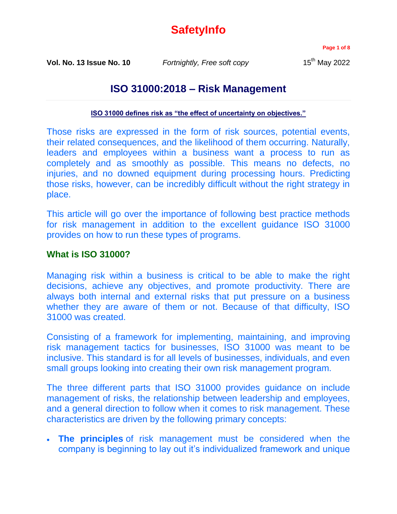# **SafetyInfo**

**Page 1 of 8**

**Vol. No. 13 Issue No. 10** *Fortnightly, Free soft copy* 15<sup>th</sup> May 2022

## **ISO 31000:2018 – Risk Management**

**[ISO 31000 defines risk as "the effect of uncertainty on objectives."](https://www.iso.org/obp/ui/#iso:std:iso:31000:ed-2:v1:en)**

Those risks are expressed in the form of risk sources, potential events, their related consequences, and the likelihood of them occurring. Naturally, leaders and employees within a business want a process to run as completely and as smoothly as possible. This means no defects, no injuries, and no downed equipment during processing hours. Predicting those risks, however, can be incredibly difficult without the right strategy in place.

This article will go over the importance of following best practice methods for risk management in addition to the excellent guidance ISO 31000 provides on how to run these types of programs.

### **What is ISO 31000?**

Managing risk within a business is critical to be able to make the right decisions, achieve any objectives, and promote productivity. There are always both internal and external risks that put pressure on a business whether they are aware of them or not. Because of that difficulty, ISO 31000 was created.

Consisting of a framework for implementing, maintaining, and improving risk management tactics for businesses, ISO 31000 was meant to be inclusive. This standard is for all levels of businesses, individuals, and even small groups looking into creating their own risk management program.

The three different parts that ISO 31000 provides guidance on include management of risks, the relationship between leadership and employees, and a general direction to follow when it comes to risk management. These characteristics are driven by the following primary concepts:

 **The principles** of risk management must be considered when the company is beginning to lay out it's individualized framework and unique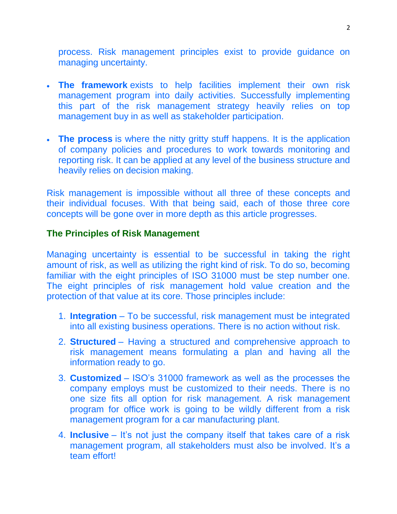process. Risk management principles exist to provide guidance on managing uncertainty.

- **The framework** exists to help facilities implement their own risk management program into daily activities. Successfully implementing this part of the risk management strategy heavily relies on top management buy in as well as stakeholder participation.
- **The process** is where the nitty gritty stuff happens. It is the application of company policies and procedures to work towards monitoring and reporting risk. It can be applied at any level of the business structure and heavily relies on decision making.

Risk management is impossible without all three of these concepts and their individual focuses. With that being said, each of those three core concepts will be gone over in more depth as this article progresses.

#### **The Principles of Risk Management**

Managing uncertainty is essential to be successful in taking the right amount of risk, as well as utilizing the right kind of risk. To do so, becoming familiar with the eight principles of ISO 31000 must be step number one. The eight principles of risk management hold value creation and the protection of that value at its core. Those principles include:

- 1. **Integration** To be successful, risk management must be integrated into all existing business operations. There is no action without risk.
- 2. **Structured** Having a structured and comprehensive approach to risk management means formulating a plan and having all the information ready to go.
- 3. **Customized** ISO's 31000 framework as well as the processes the company employs must be customized to their needs. There is no one size fits all option for risk management. A risk management program for office work is going to be wildly different from a risk management program for a car manufacturing plant.
- 4. **Inclusive** It's not just the company itself that takes care of a risk management program, all stakeholders must also be involved. It's a team effort!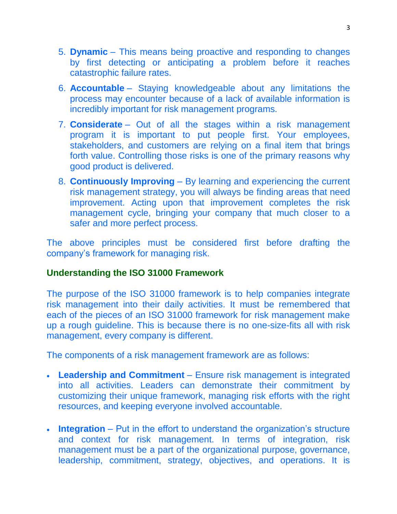- 5. **Dynamic** This means being proactive and responding to changes by first detecting or anticipating a problem before it reaches catastrophic failure rates.
- 6. **Accountable** Staying knowledgeable about any limitations the process may encounter because of a lack of available information is incredibly important for risk management programs.
- 7. **Considerate** Out of all the stages within a risk management program it is important to put people first. Your employees, stakeholders, and customers are relying on a final item that brings forth value. Controlling those risks is one of the primary reasons why good product is delivered.
- 8. **Continuously Improving** By learning and experiencing the current risk management strategy, you will always be finding areas that need improvement. Acting upon that improvement completes the risk management cycle, bringing your company that much closer to a safer and more perfect process.

The above principles must be considered first before drafting the company's framework for managing risk.

## **Understanding the ISO 31000 Framework**

The purpose of the ISO 31000 framework is to help companies integrate risk management into their daily activities. It must be remembered that each of the pieces of an ISO 31000 framework for risk management make up a rough guideline. This is because there is no one-size-fits all with risk management, every company is different.

The components of a risk management framework are as follows:

- **Leadership and Commitment** Ensure risk management is integrated into all activities. Leaders can demonstrate their commitment by customizing their unique framework, managing risk efforts with the right resources, and keeping everyone involved accountable.
- **Integration** Put in the effort to understand the organization's structure and context for risk management. In terms of integration, risk management must be a part of the organizational purpose, governance, leadership, commitment, strategy, objectives, and operations. It is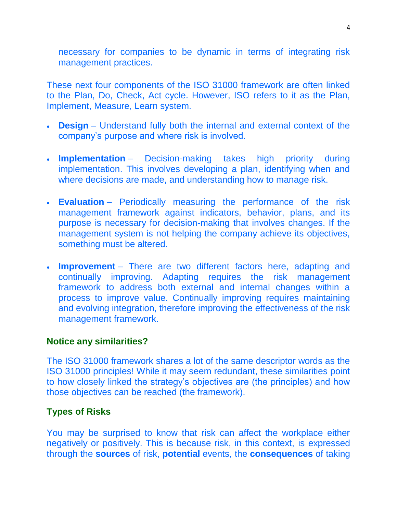necessary for companies to be dynamic in terms of integrating risk management practices.

These next four components of the ISO 31000 framework are often linked to the Plan, Do, Check, Act cycle. However, ISO refers to it as the Plan, Implement, Measure, Learn system.

- **Design** Understand fully both the internal and external context of the company's purpose and where risk is involved.
- **Implementation** Decision-making takes high priority during implementation. This involves developing a plan, identifying when and where decisions are made, and understanding how to manage risk.
- **Evaluation** Periodically measuring the performance of the risk management framework against indicators, behavior, plans, and its purpose is necessary for decision-making that involves changes. If the management system is not helping the company achieve its objectives, something must be altered.
- **Improvement** There are two different factors here, adapting and continually improving. Adapting requires the risk management framework to address both external and internal changes within a process to improve value. Continually improving requires maintaining and evolving integration, therefore improving the effectiveness of the risk management framework.

#### **Notice any similarities?**

The ISO 31000 framework shares a lot of the same descriptor words as the ISO 31000 principles! While it may seem redundant, these similarities point to how closely linked the strategy's objectives are (the principles) and how those objectives can be reached (the framework).

#### **Types of Risks**

You may be surprised to know that risk can affect the workplace either negatively or positively. This is because risk, in this context, is expressed through the **sources** of risk, **potential** events, the **consequences** of taking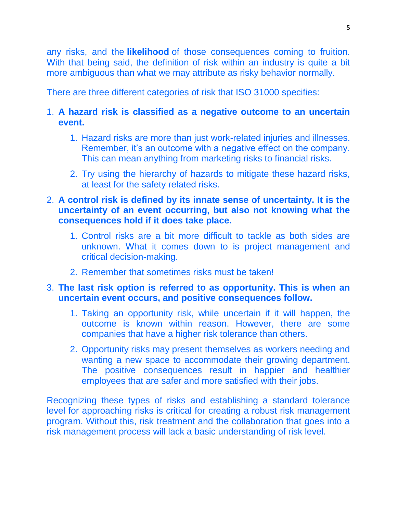any risks, and the **likelihood** of those consequences coming to fruition. With that being said, the definition of risk within an industry is quite a bit more ambiguous than what we may attribute as risky behavior normally.

There are three different categories of risk that ISO 31000 specifies:

#### 1. **A hazard risk is classified as a negative outcome to an uncertain event.**

- 1. Hazard risks are more than just work-related injuries and illnesses. Remember, it's an outcome with a negative effect on the company. This can mean anything from marketing risks to financial risks.
- 2. Try using the hierarchy of hazards to mitigate these hazard risks, at least for the safety related risks.

#### 2. **A control risk is defined by its innate sense of uncertainty. It is the uncertainty of an event occurring, but also not knowing what the consequences hold if it does take place.**

- 1. Control risks are a bit more difficult to tackle as both sides are unknown. What it comes down to is project management and critical decision-making.
- 2. Remember that sometimes risks must be taken!

### 3. **The last risk option is referred to as opportunity. This is when an uncertain event occurs, and positive consequences follow.**

- 1. Taking an opportunity risk, while uncertain if it will happen, the outcome is known within reason. However, there are some companies that have a higher risk tolerance than others.
- 2. Opportunity risks may present themselves as workers needing and wanting a new space to accommodate their growing department. The positive consequences result in happier and healthier employees that are safer and more satisfied with their jobs.

Recognizing these types of risks and establishing a standard tolerance level for approaching risks is critical for creating a robust risk management program. Without this, risk treatment and the collaboration that goes into a risk management process will lack a basic understanding of risk level.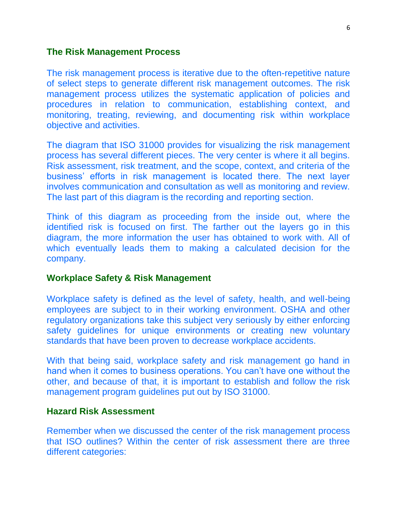#### **The Risk Management Process**

The risk management process is iterative due to the often-repetitive nature of select steps to generate different risk management outcomes. The risk management process utilizes the systematic application of policies and procedures in relation to communication, establishing context, and monitoring, treating, reviewing, and documenting risk within workplace objective and activities.

The diagram that ISO 31000 provides for visualizing the risk management process has several different pieces. The very center is where it all begins. Risk assessment, risk treatment, and the scope, context, and criteria of the business' efforts in risk management is located there. The next layer involves communication and consultation as well as monitoring and review. The last part of this diagram is the recording and reporting section.

Think of this diagram as proceeding from the inside out, where the identified risk is focused on first. The farther out the layers go in this diagram, the more information the user has obtained to work with. All of which eventually leads them to making a calculated decision for the company.

#### **Workplace Safety & Risk Management**

Workplace safety is defined as the level of safety, health, and well-being employees are subject to in their working environment. OSHA and other regulatory organizations take this subject very seriously by either enforcing safety guidelines for unique environments or creating new voluntary standards that have been proven to decrease workplace accidents.

With that being said, workplace safety and risk management go hand in hand when it comes to business operations. You can't have one without the other, and because of that, it is important to establish and follow the risk management program guidelines put out by ISO 31000.

#### **Hazard Risk Assessment**

Remember when we discussed the center of the risk management process that ISO outlines? Within the center of risk assessment there are three different categories: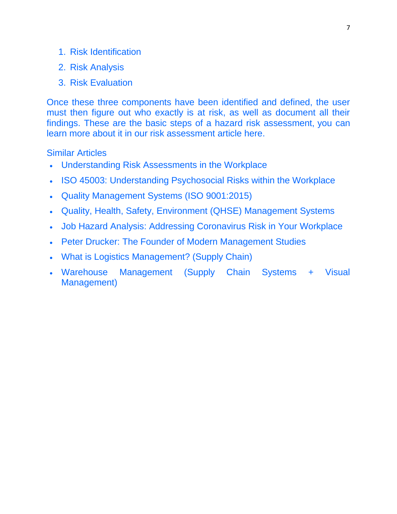- 1. Risk Identification
- 2. Risk Analysis
- 3. Risk Evaluation

Once these three components have been identified and defined, the user must then figure out who exactly is at risk, as well as document all their findings. These are the basic steps of a hazard risk assessment, you can learn more about it in our risk assessment article here.

#### Similar Articles

- Understanding Risk Assessments in the Workplace
- ISO 45003: Understanding Psychosocial Risks within the Workplace
- Quality Management Systems (ISO 9001:2015)
- Quality, Health, Safety, Environment (QHSE) Management Systems
- Job Hazard Analysis: Addressing Coronavirus Risk in Your Workplace
- Peter Drucker: The Founder of Modern Management Studies
- What is Logistics Management? (Supply Chain)
- Warehouse Management (Supply Chain Systems + Visual Management)